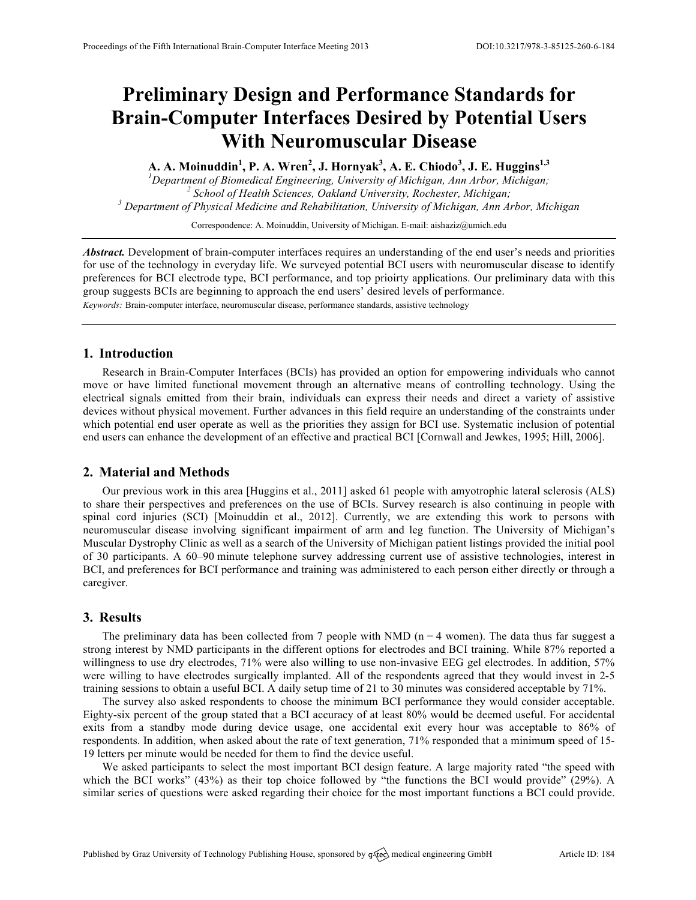# **Preliminary Design and Performance Standards for Brain-Computer Interfaces Desired by Potential Users With Neuromuscular Disease**

**A. A. Moinuddin<sup>1</sup> , P. A. Wren<sup>2</sup> , J. Hornyak<sup>3</sup> , A. E. Chiodo<sup>3</sup> , J. E. Huggins1,3**

<sup>1</sup>Department of Biomedical Engineering, University of Michigan, Ann Arbor, Michigan; <sup>2</sup> School of Health Sciences, Oakland University, Rochester, Michigan;<br><sup>3</sup> Department of Physical Medicine and Rehabilitation, University of Michigan, Ann Arbor, Michigan

Correspondence: A. Moinuddin, University of Michigan. E-mail: aishaziz@umich.edu

*Abstract.* Development of brain-computer interfaces requires an understanding of the end user's needs and priorities for use of the technology in everyday life. We surveyed potential BCI users with neuromuscular disease to identify preferences for BCI electrode type, BCI performance, and top prioirty applications. Our preliminary data with this group suggests BCIs are beginning to approach the end users' desired levels of performance.

*Keywords:* Brain-computer interface, neuromuscular disease, performance standards, assistive technology

## **1. Introduction**

Research in Brain-Computer Interfaces (BCIs) has provided an option for empowering individuals who cannot move or have limited functional movement through an alternative means of controlling technology. Using the electrical signals emitted from their brain, individuals can express their needs and direct a variety of assistive devices without physical movement. Further advances in this field require an understanding of the constraints under which potential end user operate as well as the priorities they assign for BCI use. Systematic inclusion of potential end users can enhance the development of an effective and practical BCI [Cornwall and Jewkes, 1995; Hill, 2006].

## **2. Material and Methods**

Our previous work in this area [Huggins et al., 2011] asked 61 people with amyotrophic lateral sclerosis (ALS) to share their perspectives and preferences on the use of BCIs. Survey research is also continuing in people with spinal cord injuries (SCI) [Moinuddin et al., 2012]. Currently, we are extending this work to persons with neuromuscular disease involving significant impairment of arm and leg function. The University of Michigan's Muscular Dystrophy Clinic as well as a search of the University of Michigan patient listings provided the initial pool of 30 participants. A 60–90 minute telephone survey addressing current use of assistive technologies, interest in BCI, and preferences for BCI performance and training was administered to each person either directly or through a caregiver.

## **3. Results**

The preliminary data has been collected from 7 people with NMD ( $n = 4$  women). The data thus far suggest a strong interest by NMD participants in the different options for electrodes and BCI training. While 87% reported a willingness to use dry electrodes, 71% were also willing to use non-invasive EEG gel electrodes. In addition, 57% were willing to have electrodes surgically implanted. All of the respondents agreed that they would invest in 2-5 training sessions to obtain a useful BCI. A daily setup time of 21 to 30 minutes was considered acceptable by 71%.

The survey also asked respondents to choose the minimum BCI performance they would consider acceptable. Eighty-six percent of the group stated that a BCI accuracy of at least 80% would be deemed useful. For accidental exits from a standby mode during device usage, one accidental exit every hour was acceptable to 86% of respondents. In addition, when asked about the rate of text generation, 71% responded that a minimum speed of 15- 19 letters per minute would be needed for them to find the device useful.

We asked participants to select the most important BCI design feature. A large majority rated "the speed with which the BCI works" (43%) as their top choice followed by "the functions the BCI would provide" (29%). A similar series of questions were asked regarding their choice for the most important functions a BCI could provide.